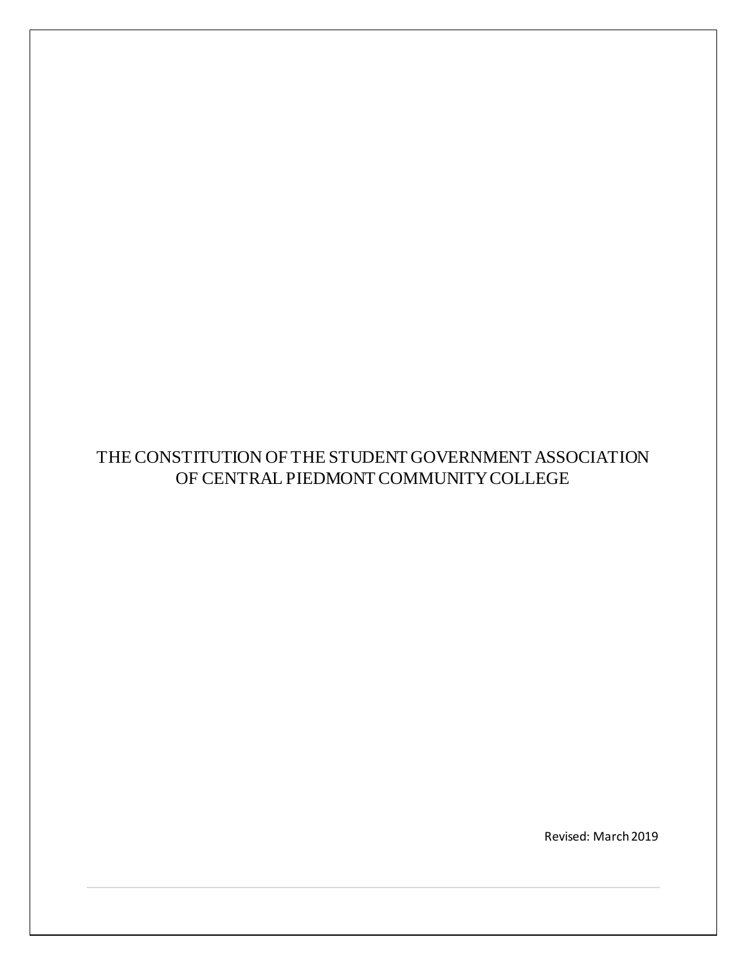# THE CONSTITUTION OF THE STUDENT GOVERNMENT ASSOCIATION OF CENTRAL PIEDMONT COMMUNITY COLLEGE

Revised: March 2019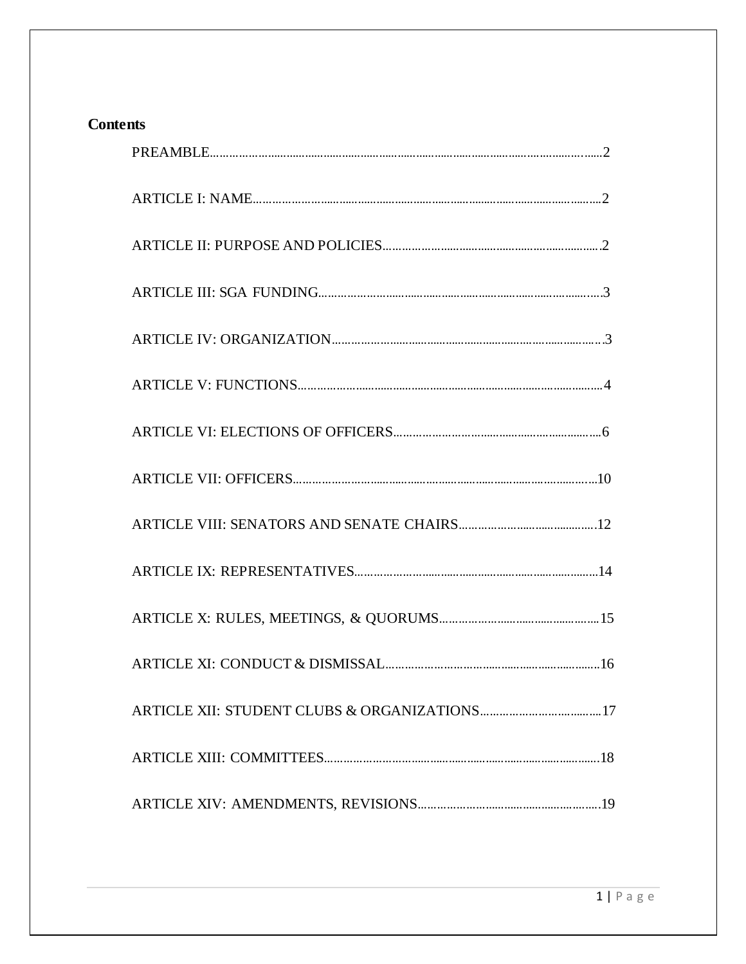# **Contents**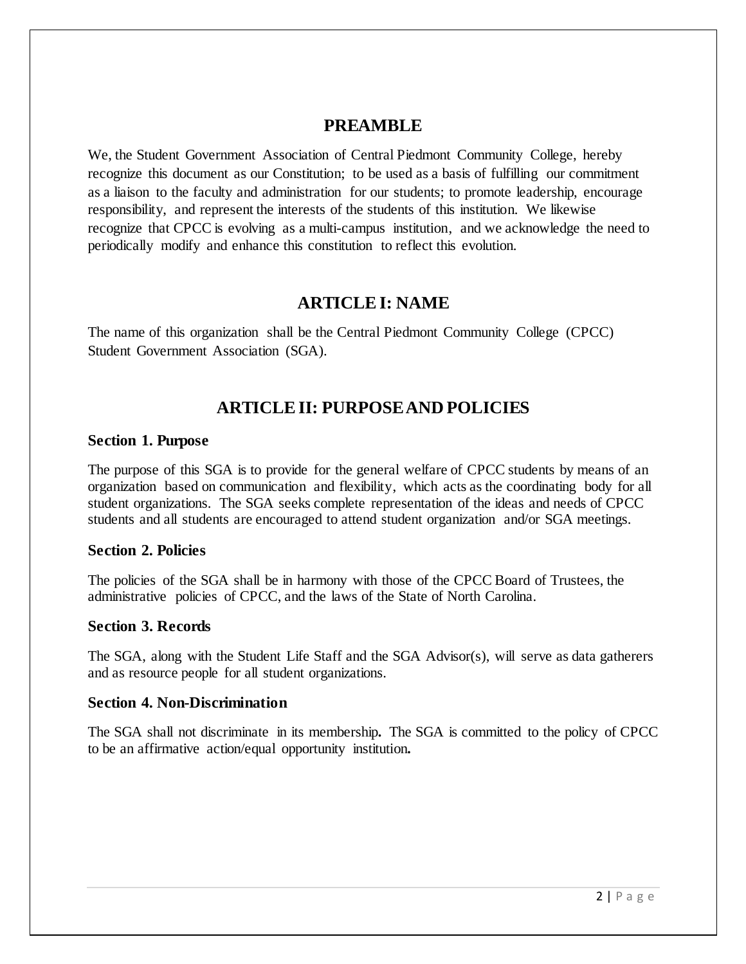## **PREAMBLE**

We, the Student Government Association of Central Piedmont Community College, hereby recognize this document as our Constitution; to be used as a basis of fulfilling our commitment as a liaison to the faculty and administration for our students; to promote leadership, encourage responsibility, and represent the interests of the students of this institution. We likewise recognize that CPCC is evolving as a multi-campus institution, and we acknowledge the need to periodically modify and enhance this constitution to reflect this evolution.

## **ARTICLE I: NAME**

The name of this organization shall be the Central Piedmont Community College (CPCC) Student Government Association (SGA).

# **ARTICLE II: PURPOSE AND POLICIES**

#### **Section 1. Purpose**

The purpose of this SGA is to provide for the general welfare of CPCC students by means of an organization based on communication and flexibility, which acts as the coordinating body for all student organizations. The SGA seeks complete representation of the ideas and needs of CPCC students and all students are encouraged to attend student organization and/or SGA meetings.

#### **Section 2. Policies**

The policies of the SGA shall be in harmony with those of the CPCC Board of Trustees, the administrative policies of CPCC, and the laws of the State of North Carolina.

#### **Section 3. Records**

The SGA, along with the Student Life Staff and the SGA Advisor(s), will serve as data gatherers and as resource people for all student organizations.

#### **Section 4. Non-Discrimination**

The SGA shall not discriminate in its membership*.* The SGA is committed to the policy of CPCC to be an affirmative action/equal opportunity institution*.*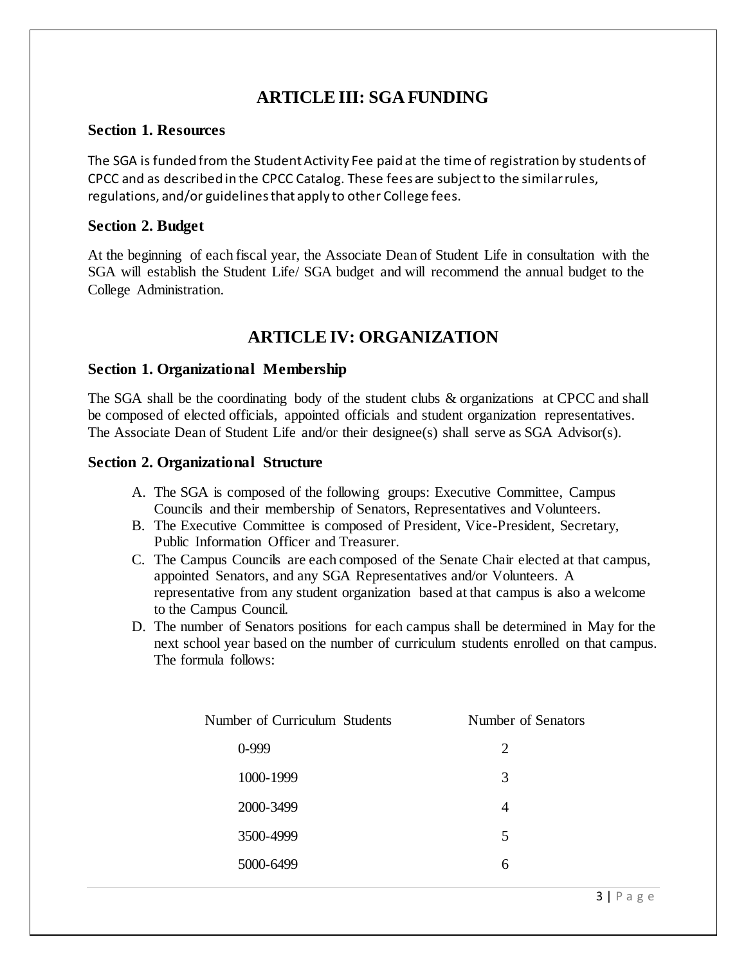# **ARTICLE III: SGA FUNDING**

#### **Section 1. Resources**

The SGA is funded from the Student Activity Fee paid at the time of registration by students of CPCC and as described in the CPCC Catalog. These fees are subject to the similar rules, regulations, and/or guidelines that apply to other College fees.

## **Section 2. Budget**

At the beginning of each fiscal year, the Associate Dean of Student Life in consultation with the SGA will establish the Student Life/ SGA budget and will recommend the annual budget to the College Administration.

# **ARTICLE IV: ORGANIZATION**

## **Section 1. Organizational Membership**

The SGA shall be the coordinating body of the student clubs & organizations at CPCC and shall be composed of elected officials, appointed officials and student organization representatives. The Associate Dean of Student Life and/or their designee(s) shall serve as SGA Advisor(s).

## **Section 2. Organizational Structure**

- A. The SGA is composed of the following groups: Executive Committee, Campus Councils and their membership of Senators, Representatives and Volunteers.
- B. The Executive Committee is composed of President, Vice-President, Secretary, Public Information Officer and Treasurer.
- C. The Campus Councils are each composed of the Senate Chair elected at that campus, appointed Senators, and any SGA Representatives and/or Volunteers. A representative from any student organization based at that campus is also a welcome to the Campus Council.
- D. The number of Senators positions for each campus shall be determined in May for the next school year based on the number of curriculum students enrolled on that campus. The formula follows:

| Number of Curriculum Students | Number of Senators |
|-------------------------------|--------------------|
| $0-999$                       | 2                  |
| 1000-1999                     | 3                  |
| 2000-3499                     | 4                  |
| 3500-4999                     | 5                  |
| 5000-6499                     | 6                  |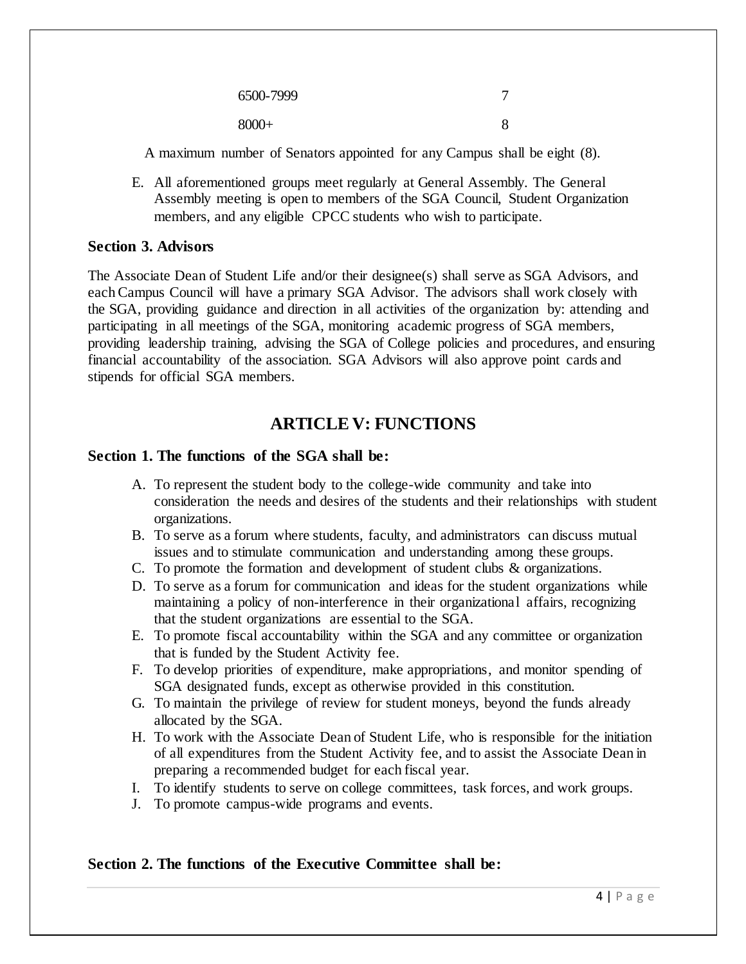| 6500-7999 |  |
|-----------|--|
| $8000+$   |  |

A maximum number of Senators appointed for any Campus shall be eight (8).

E. All aforementioned groups meet regularly at General Assembly. The General Assembly meeting is open to members of the SGA Council, Student Organization members, and any eligible CPCC students who wish to participate.

#### **Section 3. Advisors**

The Associate Dean of Student Life and/or their designee(s) shall serve as SGA Advisors, and each Campus Council will have a primary SGA Advisor. The advisors shall work closely with the SGA, providing guidance and direction in all activities of the organization by: attending and participating in all meetings of the SGA, monitoring academic progress of SGA members, providing leadership training, advising the SGA of College policies and procedures, and ensuring financial accountability of the association. SGA Advisors will also approve point cards and stipends for official SGA members.

## **ARTICLE V: FUNCTIONS**

#### **Section 1. The functions of the SGA shall be:**

- A. To represent the student body to the college-wide community and take into consideration the needs and desires of the students and their relationships with student organizations.
- B. To serve as a forum where students, faculty, and administrators can discuss mutual issues and to stimulate communication and understanding among these groups.
- C. To promote the formation and development of student clubs & organizations.
- D. To serve as a forum for communication and ideas for the student organizations while maintaining a policy of non-interference in their organizational affairs, recognizing that the student organizations are essential to the SGA.
- E. To promote fiscal accountability within the SGA and any committee or organization that is funded by the Student Activity fee.
- F. To develop priorities of expenditure, make appropriations, and monitor spending of SGA designated funds, except as otherwise provided in this constitution.
- G. To maintain the privilege of review for student moneys, beyond the funds already allocated by the SGA.
- H. To work with the Associate Dean of Student Life, who is responsible for the initiation of all expenditures from the Student Activity fee, and to assist the Associate Dean in preparing a recommended budget for each fiscal year.
- I. To identify students to serve on college committees, task forces, and work groups.
- J. To promote campus-wide programs and events.

#### **Section 2. The functions of the Executive Committee shall be:**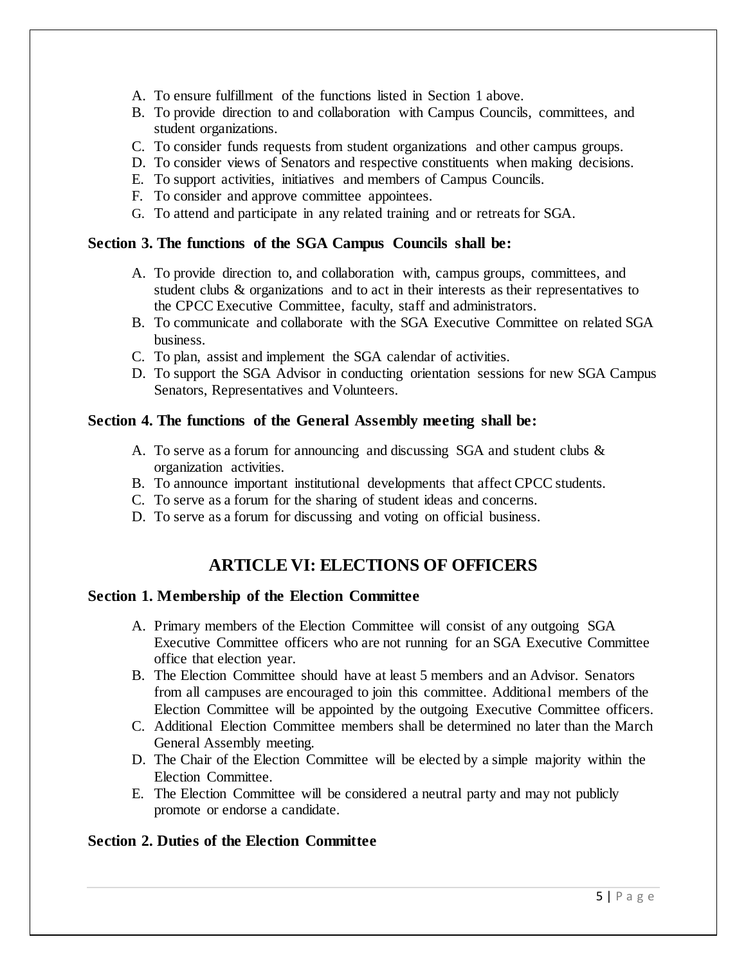- A. To ensure fulfillment of the functions listed in Section 1 above.
- B. To provide direction to and collaboration with Campus Councils, committees, and student organizations.
- C. To consider funds requests from student organizations and other campus groups.
- D. To consider views of Senators and respective constituents when making decisions.
- E. To support activities, initiatives and members of Campus Councils.
- F. To consider and approve committee appointees.
- G. To attend and participate in any related training and or retreats for SGA.

#### **Section 3. The functions of the SGA Campus Councils shall be:**

- A. To provide direction to, and collaboration with, campus groups, committees, and student clubs & organizations and to act in their interests as their representatives to the CPCC Executive Committee, faculty, staff and administrators.
- B. To communicate and collaborate with the SGA Executive Committee on related SGA business.
- C. To plan, assist and implement the SGA calendar of activities.
- D. To support the SGA Advisor in conducting orientation sessions for new SGA Campus Senators, Representatives and Volunteers.

#### **Section 4. The functions of the General Assembly meeting shall be:**

- A. To serve as a forum for announcing and discussing SGA and student clubs & organization activities.
- B. To announce important institutional developments that affect CPCC students.
- C. To serve as a forum for the sharing of student ideas and concerns.
- D. To serve as a forum for discussing and voting on official business.

## **ARTICLE VI: ELECTIONS OF OFFICERS**

#### **Section 1. Membership of the Election Committee**

- A. Primary members of the Election Committee will consist of any outgoing SGA Executive Committee officers who are not running for an SGA Executive Committee office that election year.
- B. The Election Committee should have at least 5 members and an Advisor. Senators from all campuses are encouraged to join this committee. Additional members of the Election Committee will be appointed by the outgoing Executive Committee officers.
- C. Additional Election Committee members shall be determined no later than the March General Assembly meeting.
- D. The Chair of the Election Committee will be elected by a simple majority within the Election Committee.
- E. The Election Committee will be considered a neutral party and may not publicly promote or endorse a candidate.

#### **Section 2. Duties of the Election Committee**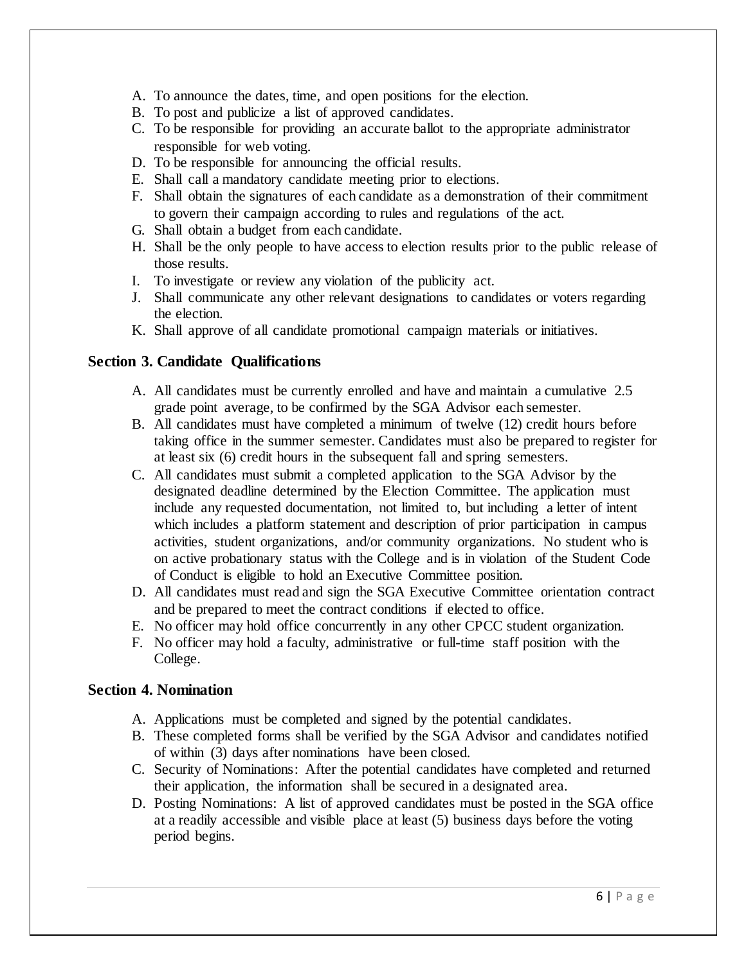- A. To announce the dates, time, and open positions for the election.
- B. To post and publicize a list of approved candidates.
- C. To be responsible for providing an accurate ballot to the appropriate administrator responsible for web voting.
- D. To be responsible for announcing the official results.
- E. Shall call a mandatory candidate meeting prior to elections.
- F. Shall obtain the signatures of each candidate as a demonstration of their commitment to govern their campaign according to rules and regulations of the act.
- G. Shall obtain a budget from each candidate.
- H. Shall be the only people to have access to election results prior to the public release of those results.
- I. To investigate or review any violation of the publicity act.
- J. Shall communicate any other relevant designations to candidates or voters regarding the election.
- K. Shall approve of all candidate promotional campaign materials or initiatives.

## **Section 3. Candidate Qualifications**

- A. All candidates must be currently enrolled and have and maintain a cumulative 2.5 grade point average, to be confirmed by the SGA Advisor each semester.
- B. All candidates must have completed a minimum of twelve (12) credit hours before taking office in the summer semester. Candidates must also be prepared to register for at least six (6) credit hours in the subsequent fall and spring semesters.
- C. All candidates must submit a completed application to the SGA Advisor by the designated deadline determined by the Election Committee. The application must include any requested documentation, not limited to, but including a letter of intent which includes a platform statement and description of prior participation in campus activities, student organizations, and/or community organizations. No student who is on active probationary status with the College and is in violation of the Student Code of Conduct is eligible to hold an Executive Committee position.
- D. All candidates must read and sign the SGA Executive Committee orientation contract and be prepared to meet the contract conditions if elected to office.
- E. No officer may hold office concurrently in any other CPCC student organization.
- F. No officer may hold a faculty, administrative or full-time staff position with the College.

## **Section 4. Nomination**

- A. Applications must be completed and signed by the potential candidates.
- B. These completed forms shall be verified by the SGA Advisor and candidates notified of within (3) days after nominations have been closed.
- C. Security of Nominations: After the potential candidates have completed and returned their application, the information shall be secured in a designated area.
- D. Posting Nominations: A list of approved candidates must be posted in the SGA office at a readily accessible and visible place at least (5) business days before the voting period begins.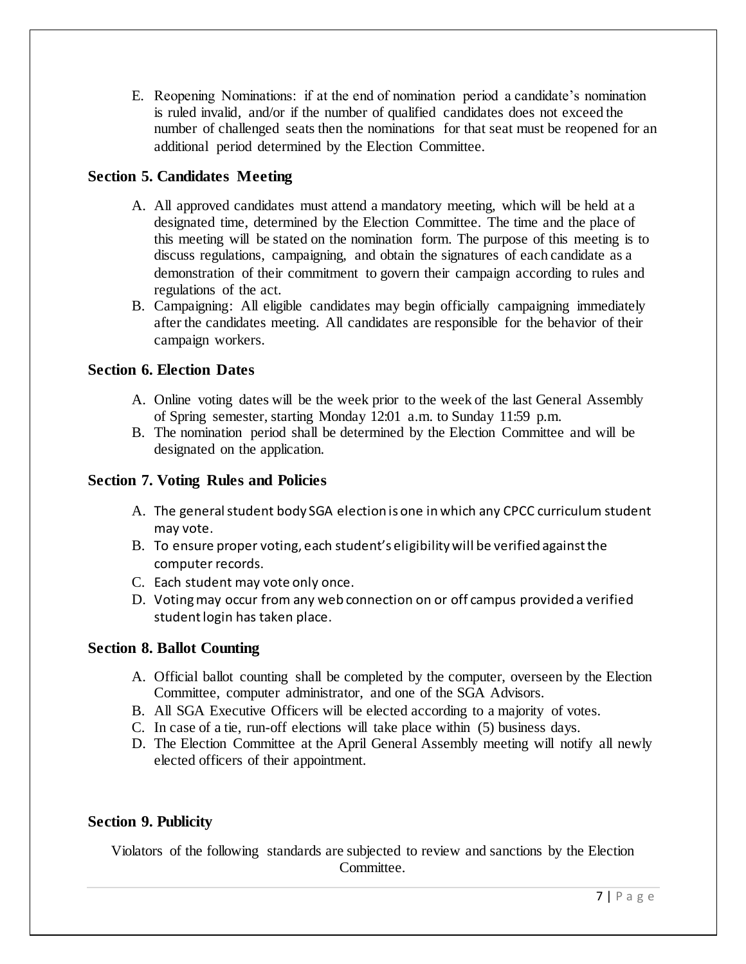E. Reopening Nominations: if at the end of nomination period a candidate's nomination is ruled invalid, and/or if the number of qualified candidates does not exceed the number of challenged seats then the nominations for that seat must be reopened for an additional period determined by the Election Committee.

## **Section 5. Candidates Meeting**

- A. All approved candidates must attend a mandatory meeting, which will be held at a designated time, determined by the Election Committee. The time and the place of this meeting will be stated on the nomination form. The purpose of this meeting is to discuss regulations, campaigning, and obtain the signatures of each candidate as a demonstration of their commitment to govern their campaign according to rules and regulations of the act.
- B. Campaigning: All eligible candidates may begin officially campaigning immediately after the candidates meeting. All candidates are responsible for the behavior of their campaign workers.

## **Section 6. Election Dates**

- A. Online voting dates will be the week prior to the week of the last General Assembly of Spring semester, starting Monday 12:01 a.m. to Sunday 11:59 p.m.
- B. The nomination period shall be determined by the Election Committee and will be designated on the application.

## **Section 7. Voting Rules and Policies**

- A. The general student body SGA election is one in which any CPCC curriculum student may vote.
- B. To ensure proper voting, each student's eligibility will be verified against the computer records.
- C. Each student may vote only once.
- D. Voting may occur from any web connection on or off campus provided a verified student login has taken place.

## **Section 8. Ballot Counting**

- A. Official ballot counting shall be completed by the computer, overseen by the Election Committee, computer administrator, and one of the SGA Advisors.
- B. All SGA Executive Officers will be elected according to a majority of votes.
- C. In case of a tie, run-off elections will take place within (5) business days.
- D. The Election Committee at the April General Assembly meeting will notify all newly elected officers of their appointment.

## **Section 9. Publicity**

Violators of the following standards are subjected to review and sanctions by the Election Committee.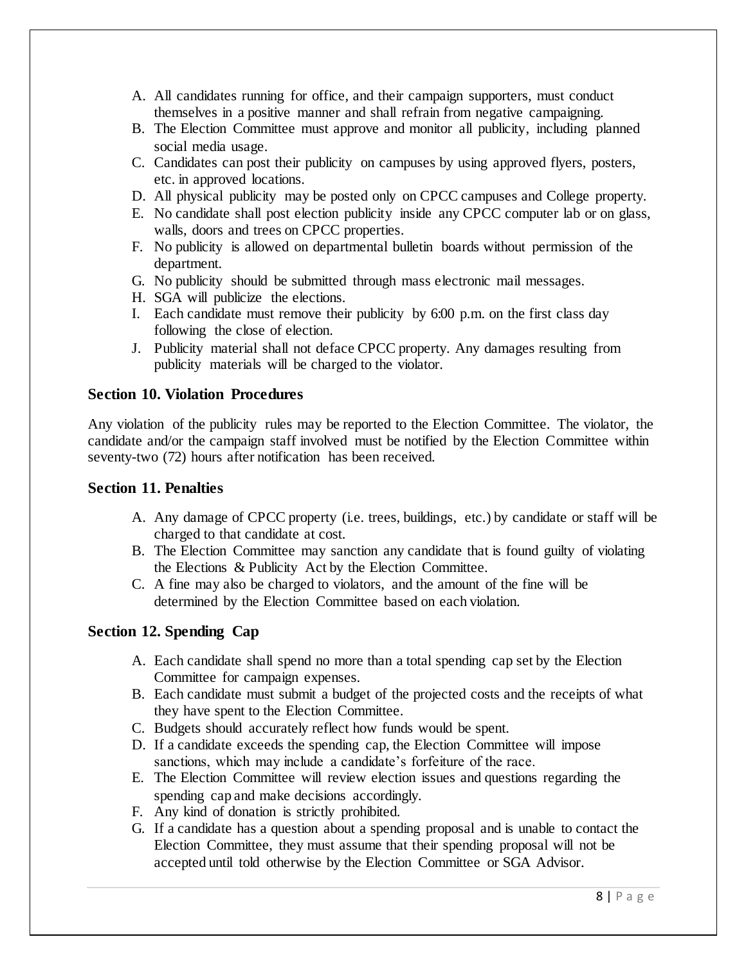- A. All candidates running for office, and their campaign supporters, must conduct themselves in a positive manner and shall refrain from negative campaigning.
- B. The Election Committee must approve and monitor all publicity, including planned social media usage.
- C. Candidates can post their publicity on campuses by using approved flyers, posters, etc. in approved locations.
- D. All physical publicity may be posted only on CPCC campuses and College property.
- E. No candidate shall post election publicity inside any CPCC computer lab or on glass, walls, doors and trees on CPCC properties.
- F. No publicity is allowed on departmental bulletin boards without permission of the department.
- G. No publicity should be submitted through mass electronic mail messages.
- H. SGA will publicize the elections.
- I. Each candidate must remove their publicity by 6:00 p.m. on the first class day following the close of election.
- J. Publicity material shall not deface CPCC property. Any damages resulting from publicity materials will be charged to the violator.

#### **Section 10. Violation Procedures**

Any violation of the publicity rules may be reported to the Election Committee. The violator, the candidate and/or the campaign staff involved must be notified by the Election Committee within seventy-two (72) hours after notification has been received.

#### **Section 11. Penalties**

- A. Any damage of CPCC property (i.e. trees, buildings, etc.) by candidate or staff will be charged to that candidate at cost.
- B. The Election Committee may sanction any candidate that is found guilty of violating the Elections & Publicity Act by the Election Committee.
- C. A fine may also be charged to violators, and the amount of the fine will be determined by the Election Committee based on each violation.

## **Section 12. Spending Cap**

- A. Each candidate shall spend no more than a total spending cap set by the Election Committee for campaign expenses.
- B. Each candidate must submit a budget of the projected costs and the receipts of what they have spent to the Election Committee.
- C. Budgets should accurately reflect how funds would be spent.
- D. If a candidate exceeds the spending cap, the Election Committee will impose sanctions, which may include a candidate's forfeiture of the race.
- E. The Election Committee will review election issues and questions regarding the spending cap and make decisions accordingly.
- F. Any kind of donation is strictly prohibited.
- G. If a candidate has a question about a spending proposal and is unable to contact the Election Committee, they must assume that their spending proposal will not be accepted until told otherwise by the Election Committee or SGA Advisor.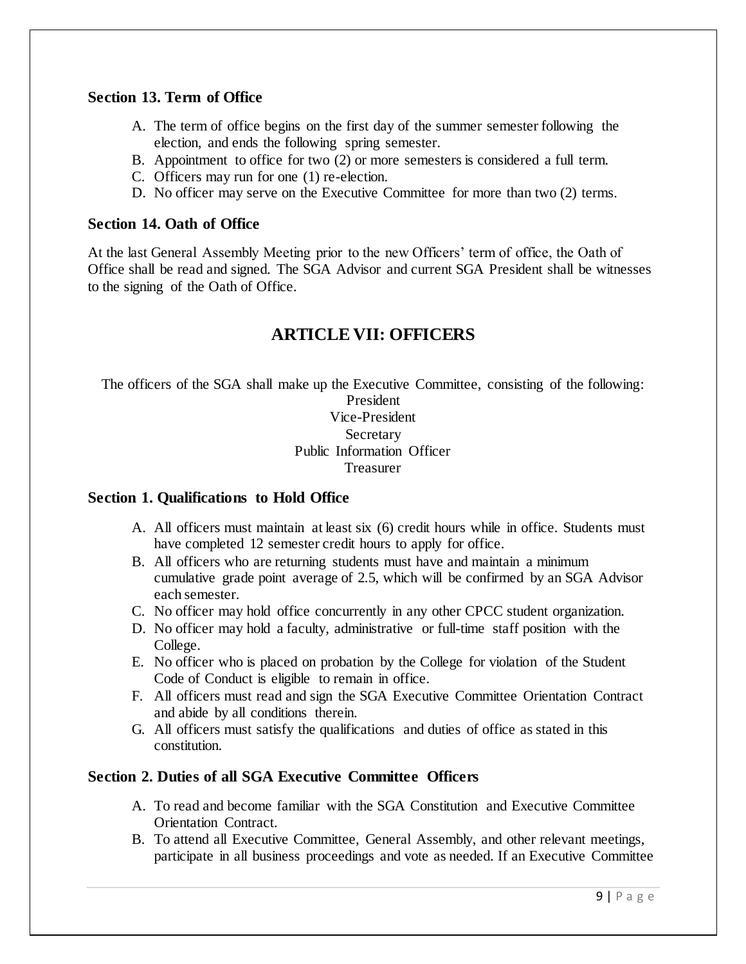#### **Section 13. Term of Office**

- A. The term of office begins on the first day of the summer semester following the election, and ends the following spring semester.
- B. Appointment to office for two (2) or more semesters is considered a full term.
- C. Officers may run for one (1) re-election.
- D. No officer may serve on the Executive Committee for more than two (2) terms.

#### **Section 14. Oath of Office**

At the last General Assembly Meeting prior to the new Officers' term of office, the Oath of Office shall be read and signed. The SGA Advisor and current SGA President shall be witnesses to the signing of the Oath of Office.

## **ARTICLE VII: OFFICERS**

The officers of the SGA shall make up the Executive Committee, consisting of the following: President Vice-President Secretary Public Information Officer Treasurer

## **Section 1. Qualifications to Hold Office**

- A. All officers must maintain at least six (6) credit hours while in office. Students must have completed 12 semester credit hours to apply for office.
- B. All officers who are returning students must have and maintain a minimum cumulative grade point average of 2.5, which will be confirmed by an SGA Advisor each semester.
- C. No officer may hold office concurrently in any other CPCC student organization.
- D. No officer may hold a faculty, administrative or full-time staff position with the College.
- E. No officer who is placed on probation by the College for violation of the Student Code of Conduct is eligible to remain in office.
- F. All officers must read and sign the SGA Executive Committee Orientation Contract and abide by all conditions therein.
- G. All officers must satisfy the qualifications and duties of office as stated in this constitution.

## **Section 2. Duties of all SGA Executive Committee Officers**

- A. To read and become familiar with the SGA Constitution and Executive Committee Orientation Contract.
- B. To attend all Executive Committee, General Assembly, and other relevant meetings, participate in all business proceedings and vote as needed. If an Executive Committee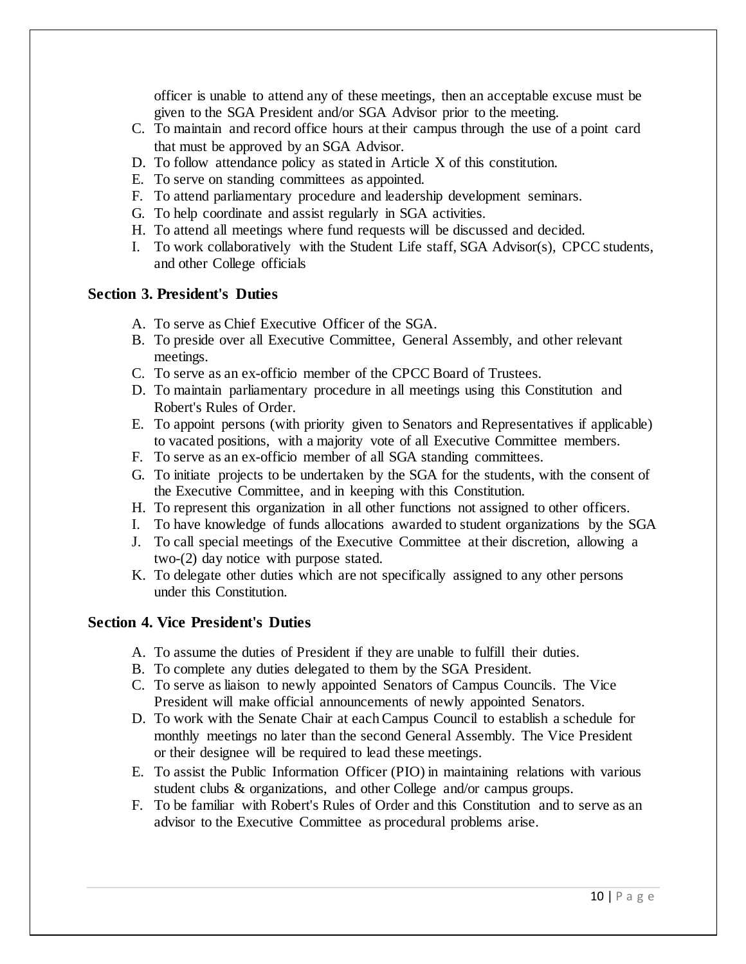officer is unable to attend any of these meetings, then an acceptable excuse must be given to the SGA President and/or SGA Advisor prior to the meeting.

- C. To maintain and record office hours at their campus through the use of a point card that must be approved by an SGA Advisor.
- D. To follow attendance policy as stated in Article X of this constitution.
- E. To serve on standing committees as appointed.
- F. To attend parliamentary procedure and leadership development seminars.
- G. To help coordinate and assist regularly in SGA activities.
- H. To attend all meetings where fund requests will be discussed and decided.
- I. To work collaboratively with the Student Life staff, SGA Advisor(s), CPCC students, and other College officials

#### **Section 3. President's Duties**

- A. To serve as Chief Executive Officer of the SGA.
- B. To preside over all Executive Committee, General Assembly, and other relevant meetings.
- C. To serve as an ex-officio member of the CPCC Board of Trustees.
- D. To maintain parliamentary procedure in all meetings using this Constitution and Robert's Rules of Order.
- E. To appoint persons (with priority given to Senators and Representatives if applicable) to vacated positions, with a majority vote of all Executive Committee members.
- F. To serve as an ex-officio member of all SGA standing committees.
- G. To initiate projects to be undertaken by the SGA for the students, with the consent of the Executive Committee, and in keeping with this Constitution.
- H. To represent this organization in all other functions not assigned to other officers.
- I. To have knowledge of funds allocations awarded to student organizations by the SGA
- J. To call special meetings of the Executive Committee at their discretion, allowing a two-(2) day notice with purpose stated.
- K. To delegate other duties which are not specifically assigned to any other persons under this Constitution.

#### **Section 4. Vice President's Duties**

- A. To assume the duties of President if they are unable to fulfill their duties.
- B. To complete any duties delegated to them by the SGA President.
- C. To serve as liaison to newly appointed Senators of Campus Councils. The Vice President will make official announcements of newly appointed Senators.
- D. To work with the Senate Chair at each Campus Council to establish a schedule for monthly meetings no later than the second General Assembly. The Vice President or their designee will be required to lead these meetings.
- E. To assist the Public Information Officer (PIO) in maintaining relations with various student clubs & organizations, and other College and/or campus groups.
- F. To be familiar with Robert's Rules of Order and this Constitution and to serve as an advisor to the Executive Committee as procedural problems arise.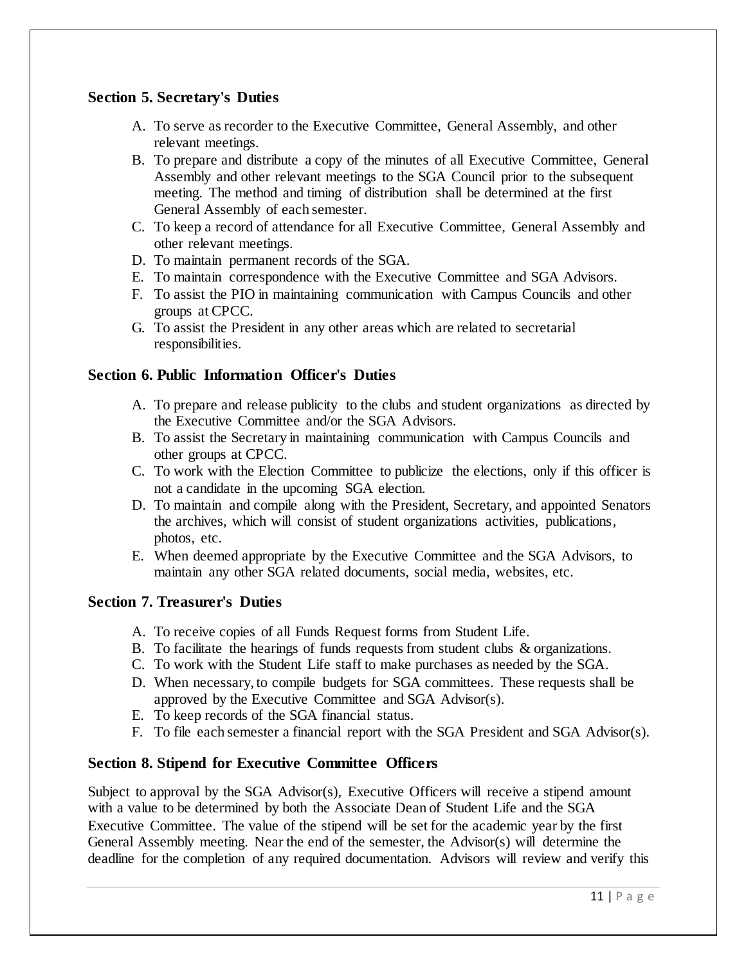## **Section 5. Secretary's Duties**

- A. To serve as recorder to the Executive Committee, General Assembly, and other relevant meetings.
- B. To prepare and distribute a copy of the minutes of all Executive Committee, General Assembly and other relevant meetings to the SGA Council prior to the subsequent meeting. The method and timing of distribution shall be determined at the first General Assembly of each semester.
- C. To keep a record of attendance for all Executive Committee, General Assembly and other relevant meetings.
- D. To maintain permanent records of the SGA.
- E. To maintain correspondence with the Executive Committee and SGA Advisors.
- F. To assist the PIO in maintaining communication with Campus Councils and other groups at CPCC.
- G. To assist the President in any other areas which are related to secretarial responsibilities.

## **Section 6. Public Information Officer's Duties**

- A. To prepare and release publicity to the clubs and student organizations as directed by the Executive Committee and/or the SGA Advisors.
- B. To assist the Secretary in maintaining communication with Campus Councils and other groups at CPCC.
- C. To work with the Election Committee to publicize the elections, only if this officer is not a candidate in the upcoming SGA election.
- D. To maintain and compile along with the President, Secretary, and appointed Senators the archives, which will consist of student organizations activities, publications, photos, etc.
- E. When deemed appropriate by the Executive Committee and the SGA Advisors, to maintain any other SGA related documents, social media, websites, etc.

## **Section 7. Treasurer's Duties**

- A. To receive copies of all Funds Request forms from Student Life.
- B. To facilitate the hearings of funds requests from student clubs & organizations.
- C. To work with the Student Life staff to make purchases as needed by the SGA.
- D. When necessary, to compile budgets for SGA committees. These requests shall be approved by the Executive Committee and SGA Advisor(s).
- E. To keep records of the SGA financial status.
- F. To file each semester a financial report with the SGA President and SGA Advisor(s).

## **Section 8. Stipend for Executive Committee Officers**

Subject to approval by the SGA Advisor(s), Executive Officers will receive a stipend amount with a value to be determined by both the Associate Dean of Student Life and the SGA Executive Committee. The value of the stipend will be set for the academic year by the first General Assembly meeting. Near the end of the semester, the Advisor(s) will determine the deadline for the completion of any required documentation. Advisors will review and verify this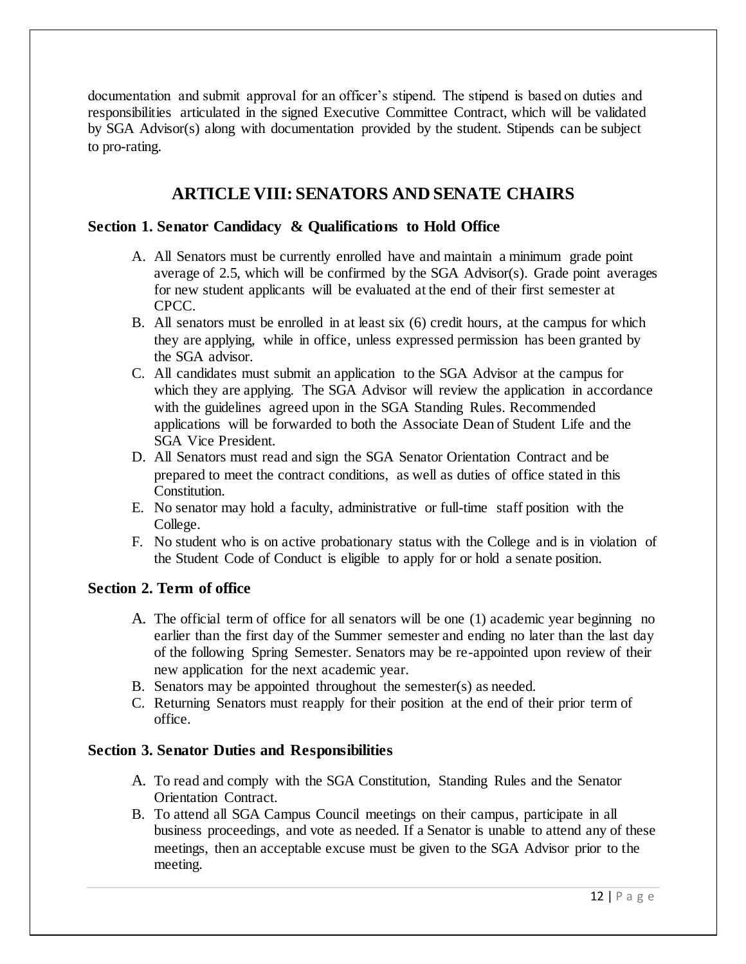documentation and submit approval for an officer's stipend. The stipend is based on duties and responsibilities articulated in the signed Executive Committee Contract, which will be validated by SGA Advisor(s) along with documentation provided by the student. Stipends can be subject to pro-rating.

## **ARTICLE VIII: SENATORS AND SENATE CHAIRS**

#### **Section 1. Senator Candidacy & Qualifications to Hold Office**

- A. All Senators must be currently enrolled have and maintain a minimum grade point average of 2.5, which will be confirmed by the SGA Advisor(s). Grade point averages for new student applicants will be evaluated at the end of their first semester at CPCC.
- B. All senators must be enrolled in at least six (6) credit hours, at the campus for which they are applying, while in office, unless expressed permission has been granted by the SGA advisor.
- C. All candidates must submit an application to the SGA Advisor at the campus for which they are applying. The SGA Advisor will review the application in accordance with the guidelines agreed upon in the SGA Standing Rules. Recommended applications will be forwarded to both the Associate Dean of Student Life and the SGA Vice President.
- D. All Senators must read and sign the SGA Senator Orientation Contract and be prepared to meet the contract conditions, as well as duties of office stated in this Constitution.
- E. No senator may hold a faculty, administrative or full-time staff position with the College.
- F. No student who is on active probationary status with the College and is in violation of the Student Code of Conduct is eligible to apply for or hold a senate position.

#### **Section 2. Term of office**

- A. The official term of office for all senators will be one (1) academic year beginning no earlier than the first day of the Summer semester and ending no later than the last day of the following Spring Semester. Senators may be re-appointed upon review of their new application for the next academic year.
- B. Senators may be appointed throughout the semester(s) as needed.
- C. Returning Senators must reapply for their position at the end of their prior term of office.

#### **Section 3. Senator Duties and Responsibilities**

- A. To read and comply with the SGA Constitution, Standing Rules and the Senator Orientation Contract.
- B. To attend all SGA Campus Council meetings on their campus, participate in all business proceedings, and vote as needed. If a Senator is unable to attend any of these meetings, then an acceptable excuse must be given to the SGA Advisor prior to the meeting.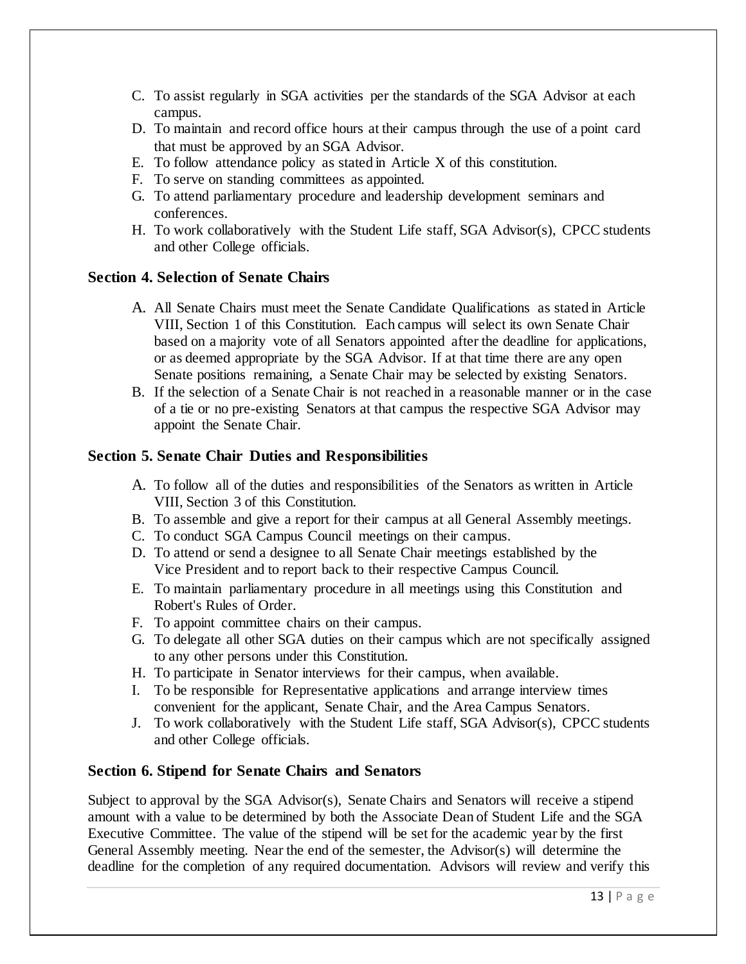- C. To assist regularly in SGA activities per the standards of the SGA Advisor at each campus.
- D. To maintain and record office hours at their campus through the use of a point card that must be approved by an SGA Advisor.
- E. To follow attendance policy as stated in Article X of this constitution.
- F. To serve on standing committees as appointed.
- G. To attend parliamentary procedure and leadership development seminars and conferences.
- H. To work collaboratively with the Student Life staff, SGA Advisor(s), CPCC students and other College officials.

## **Section 4. Selection of Senate Chairs**

- A. All Senate Chairs must meet the Senate Candidate Qualifications as stated in Article VIII, Section 1 of this Constitution. Each campus will select its own Senate Chair based on a majority vote of all Senators appointed after the deadline for applications, or as deemed appropriate by the SGA Advisor. If at that time there are any open Senate positions remaining, a Senate Chair may be selected by existing Senators.
- B. If the selection of a Senate Chair is not reached in a reasonable manner or in the case of a tie or no pre-existing Senators at that campus the respective SGA Advisor may appoint the Senate Chair.

## **Section 5. Senate Chair Duties and Responsibilities**

- A. To follow all of the duties and responsibilities of the Senators as written in Article VIII, Section 3 of this Constitution.
- B. To assemble and give a report for their campus at all General Assembly meetings.
- C. To conduct SGA Campus Council meetings on their campus.
- D. To attend or send a designee to all Senate Chair meetings established by the Vice President and to report back to their respective Campus Council.
- E. To maintain parliamentary procedure in all meetings using this Constitution and Robert's Rules of Order.
- F. To appoint committee chairs on their campus.
- G. To delegate all other SGA duties on their campus which are not specifically assigned to any other persons under this Constitution.
- H. To participate in Senator interviews for their campus, when available.
- I. To be responsible for Representative applications and arrange interview times convenient for the applicant, Senate Chair, and the Area Campus Senators.
- J. To work collaboratively with the Student Life staff, SGA Advisor(s), CPCC students and other College officials.

## **Section 6. Stipend for Senate Chairs and Senators**

Subject to approval by the SGA Advisor(s), Senate Chairs and Senators will receive a stipend amount with a value to be determined by both the Associate Dean of Student Life and the SGA Executive Committee. The value of the stipend will be set for the academic year by the first General Assembly meeting. Near the end of the semester, the Advisor(s) will determine the deadline for the completion of any required documentation. Advisors will review and verify this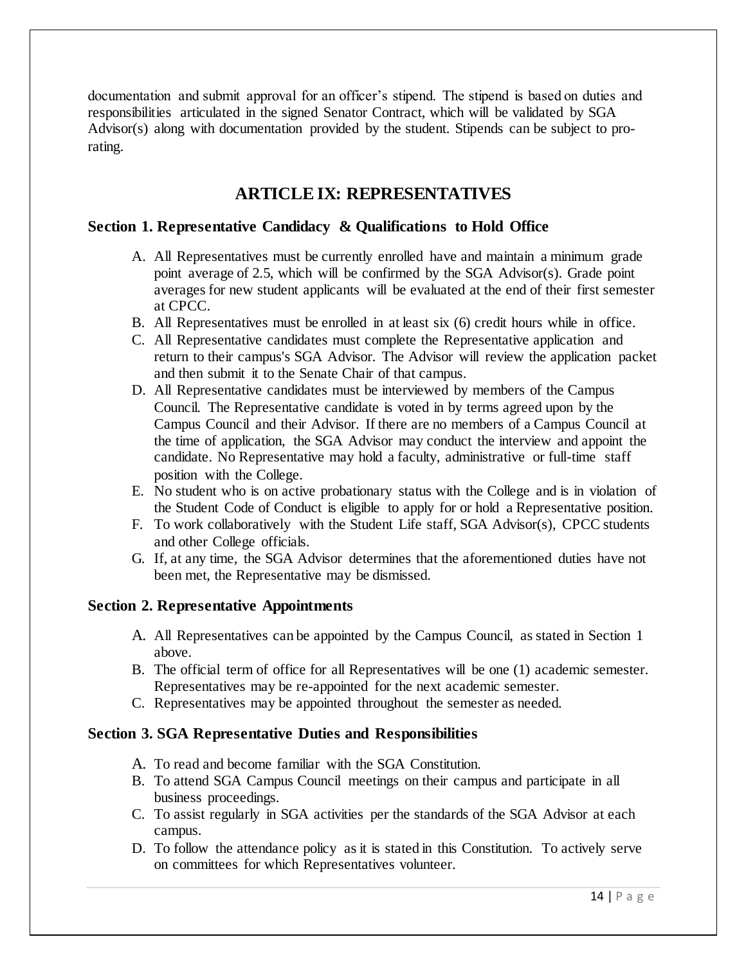documentation and submit approval for an officer's stipend. The stipend is based on duties and responsibilities articulated in the signed Senator Contract, which will be validated by SGA Advisor(s) along with documentation provided by the student. Stipends can be subject to prorating.

# **ARTICLE IX: REPRESENTATIVES**

## **Section 1. Representative Candidacy & Qualifications to Hold Office**

- A. All Representatives must be currently enrolled have and maintain a minimum grade point average of 2.5, which will be confirmed by the SGA Advisor(s). Grade point averages for new student applicants will be evaluated at the end of their first semester at CPCC.
- B. All Representatives must be enrolled in at least six (6) credit hours while in office.
- C. All Representative candidates must complete the Representative application and return to their campus's SGA Advisor. The Advisor will review the application packet and then submit it to the Senate Chair of that campus.
- D. All Representative candidates must be interviewed by members of the Campus Council. The Representative candidate is voted in by terms agreed upon by the Campus Council and their Advisor. If there are no members of a Campus Council at the time of application, the SGA Advisor may conduct the interview and appoint the candidate. No Representative may hold a faculty, administrative or full-time staff position with the College.
- E. No student who is on active probationary status with the College and is in violation of the Student Code of Conduct is eligible to apply for or hold a Representative position.
- F. To work collaboratively with the Student Life staff, SGA Advisor(s), CPCC students and other College officials.
- G. If, at any time, the SGA Advisor determines that the aforementioned duties have not been met, the Representative may be dismissed.

## **Section 2. Representative Appointments**

- A. All Representatives can be appointed by the Campus Council, as stated in Section 1 above.
- B. The official term of office for all Representatives will be one (1) academic semester. Representatives may be re-appointed for the next academic semester.
- C. Representatives may be appointed throughout the semester as needed.

## **Section 3. SGA Representative Duties and Responsibilities**

- A. To read and become familiar with the SGA Constitution.
- B. To attend SGA Campus Council meetings on their campus and participate in all business proceedings.
- C. To assist regularly in SGA activities per the standards of the SGA Advisor at each campus.
- D. To follow the attendance policy as it is stated in this Constitution. To actively serve on committees for which Representatives volunteer.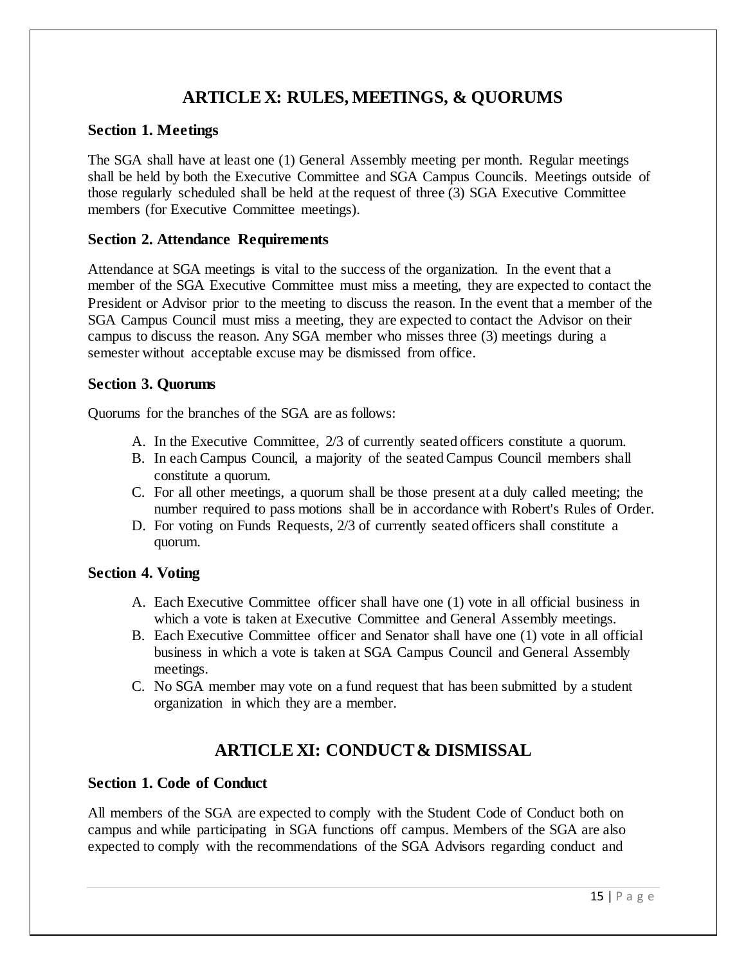# **ARTICLE X: RULES, MEETINGS, & QUORUMS**

#### **Section 1. Meetings**

The SGA shall have at least one (1) General Assembly meeting per month. Regular meetings shall be held by both the Executive Committee and SGA Campus Councils. Meetings outside of those regularly scheduled shall be held at the request of three (3) SGA Executive Committee members (for Executive Committee meetings).

### **Section 2. Attendance Requirements**

Attendance at SGA meetings is vital to the success of the organization. In the event that a member of the SGA Executive Committee must miss a meeting, they are expected to contact the President or Advisor prior to the meeting to discuss the reason. In the event that a member of the SGA Campus Council must miss a meeting, they are expected to contact the Advisor on their campus to discuss the reason. Any SGA member who misses three (3) meetings during a semester without acceptable excuse may be dismissed from office.

#### **Section 3. Quorums**

Quorums for the branches of the SGA are as follows:

- A. In the Executive Committee, 2/3 of currently seated officers constitute a quorum.
- B. In each Campus Council, a majority of the seated Campus Council members shall constitute a quorum.
- C. For all other meetings, a quorum shall be those present at a duly called meeting; the number required to pass motions shall be in accordance with Robert's Rules of Order.
- D. For voting on Funds Requests, 2/3 of currently seated officers shall constitute a quorum.

#### **Section 4. Voting**

- A. Each Executive Committee officer shall have one (1) vote in all official business in which a vote is taken at Executive Committee and General Assembly meetings.
- B. Each Executive Committee officer and Senator shall have one (1) vote in all official business in which a vote is taken at SGA Campus Council and General Assembly meetings.
- C. No SGA member may vote on a fund request that has been submitted by a student organization in which they are a member.

# **ARTICLE XI: CONDUCT & DISMISSAL**

## **Section 1. Code of Conduct**

All members of the SGA are expected to comply with the Student Code of Conduct both on campus and while participating in SGA functions off campus. Members of the SGA are also expected to comply with the recommendations of the SGA Advisors regarding conduct and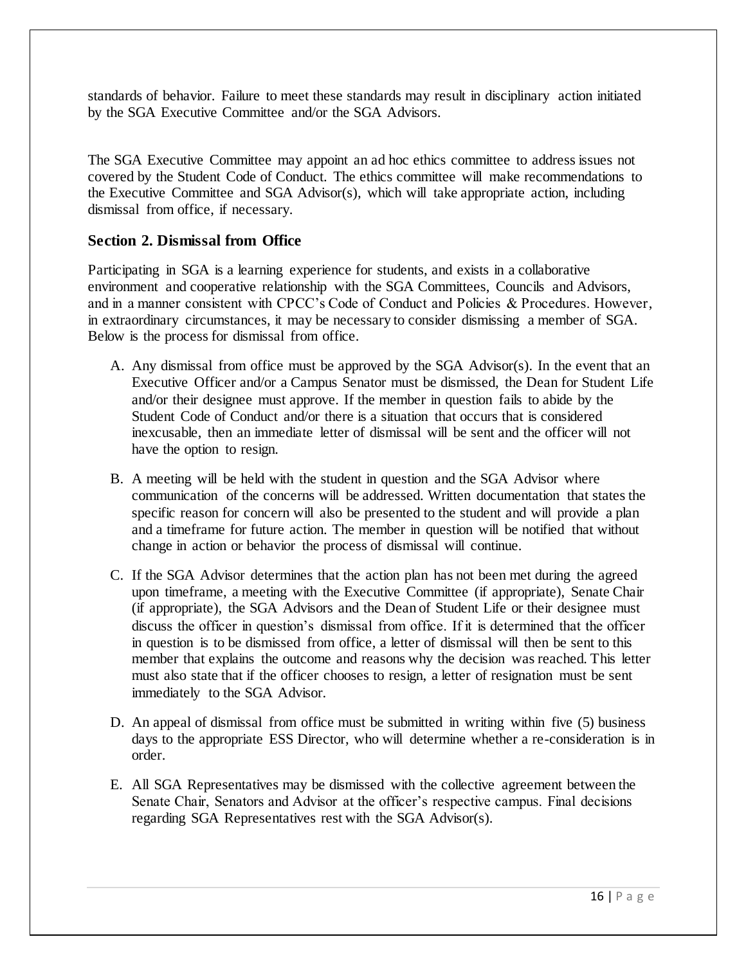standards of behavior. Failure to meet these standards may result in disciplinary action initiated by the SGA Executive Committee and/or the SGA Advisors.

The SGA Executive Committee may appoint an ad hoc ethics committee to address issues not covered by the Student Code of Conduct. The ethics committee will make recommendations to the Executive Committee and SGA Advisor(s), which will take appropriate action, including dismissal from office, if necessary.

### **Section 2. Dismissal from Office**

Participating in SGA is a learning experience for students, and exists in a collaborative environment and cooperative relationship with the SGA Committees, Councils and Advisors, and in a manner consistent with CPCC's Code of Conduct and Policies & Procedures. However, in extraordinary circumstances, it may be necessary to consider dismissing a member of SGA. Below is the process for dismissal from office.

- A. Any dismissal from office must be approved by the SGA Advisor(s). In the event that an Executive Officer and/or a Campus Senator must be dismissed, the Dean for Student Life and/or their designee must approve. If the member in question fails to abide by the Student Code of Conduct and/or there is a situation that occurs that is considered inexcusable, then an immediate letter of dismissal will be sent and the officer will not have the option to resign.
- B. A meeting will be held with the student in question and the SGA Advisor where communication of the concerns will be addressed. Written documentation that states the specific reason for concern will also be presented to the student and will provide a plan and a timeframe for future action. The member in question will be notified that without change in action or behavior the process of dismissal will continue.
- C. If the SGA Advisor determines that the action plan has not been met during the agreed upon timeframe, a meeting with the Executive Committee (if appropriate), Senate Chair (if appropriate), the SGA Advisors and the Dean of Student Life or their designee must discuss the officer in question's dismissal from office. If it is determined that the officer in question is to be dismissed from office, a letter of dismissal will then be sent to this member that explains the outcome and reasons why the decision was reached. This letter must also state that if the officer chooses to resign, a letter of resignation must be sent immediately to the SGA Advisor.
- D. An appeal of dismissal from office must be submitted in writing within five (5) business days to the appropriate ESS Director, who will determine whether a re-consideration is in order.
- E. All SGA Representatives may be dismissed with the collective agreement between the Senate Chair, Senators and Advisor at the officer's respective campus. Final decisions regarding SGA Representatives rest with the SGA Advisor(s).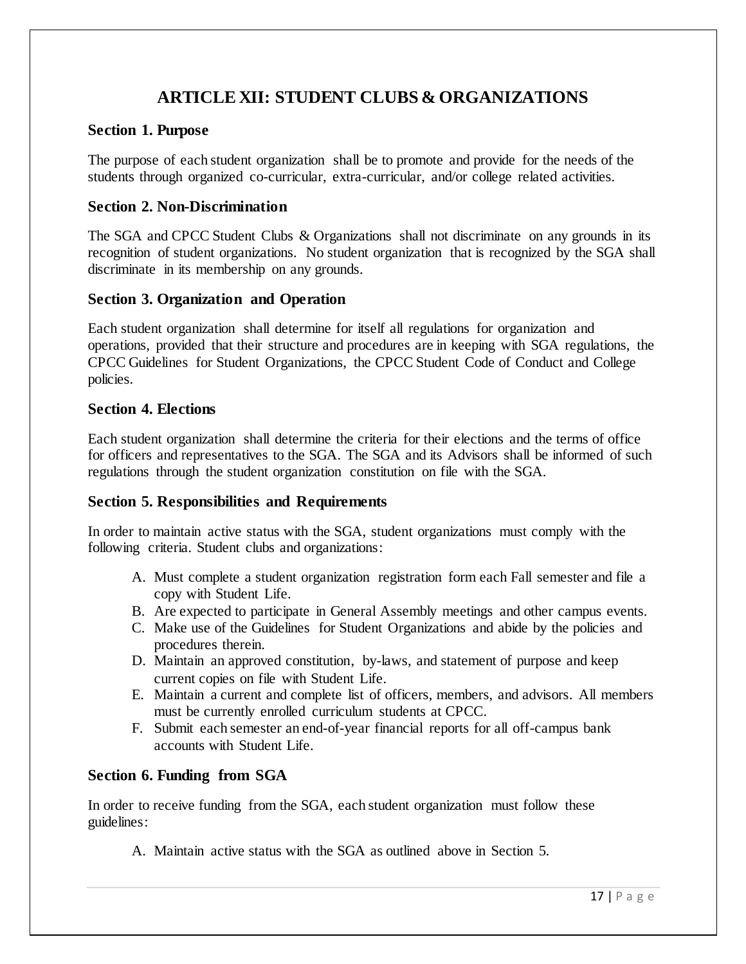# **ARTICLE XII: STUDENT CLUBS & ORGANIZATIONS**

#### **Section 1. Purpose**

The purpose of each student organization shall be to promote and provide for the needs of the students through organized co-curricular, extra-curricular, and/or college related activities.

#### **Section 2. Non-Discrimination**

The SGA and CPCC Student Clubs & Organizations shall not discriminate on any grounds in its recognition of student organizations. No student organization that is recognized by the SGA shall discriminate in its membership on any grounds.

#### **Section 3. Organization and Operation**

Each student organization shall determine for itself all regulations for organization and operations, provided that their structure and procedures are in keeping with SGA regulations, the CPCC Guidelines for Student Organizations, the CPCC Student Code of Conduct and College policies.

#### **Section 4. Elections**

Each student organization shall determine the criteria for their elections and the terms of office for officers and representatives to the SGA. The SGA and its Advisors shall be informed of such regulations through the student organization constitution on file with the SGA.

## **Section 5. Responsibilities and Requirements**

In order to maintain active status with the SGA, student organizations must comply with the following criteria. Student clubs and organizations:

- A. Must complete a student organization registration form each Fall semester and file a copy with Student Life.
- B. Are expected to participate in General Assembly meetings and other campus events.
- C. Make use of the Guidelines for Student Organizations and abide by the policies and procedures therein.
- D. Maintain an approved constitution, by-laws, and statement of purpose and keep current copies on file with Student Life.
- E. Maintain a current and complete list of officers, members, and advisors. All members must be currently enrolled curriculum students at CPCC.
- F. Submit each semester an end-of-year financial reports for all off-campus bank accounts with Student Life.

## **Section 6. Funding from SGA**

In order to receive funding from the SGA, each student organization must follow these guidelines:

A. Maintain active status with the SGA as outlined above in Section 5.